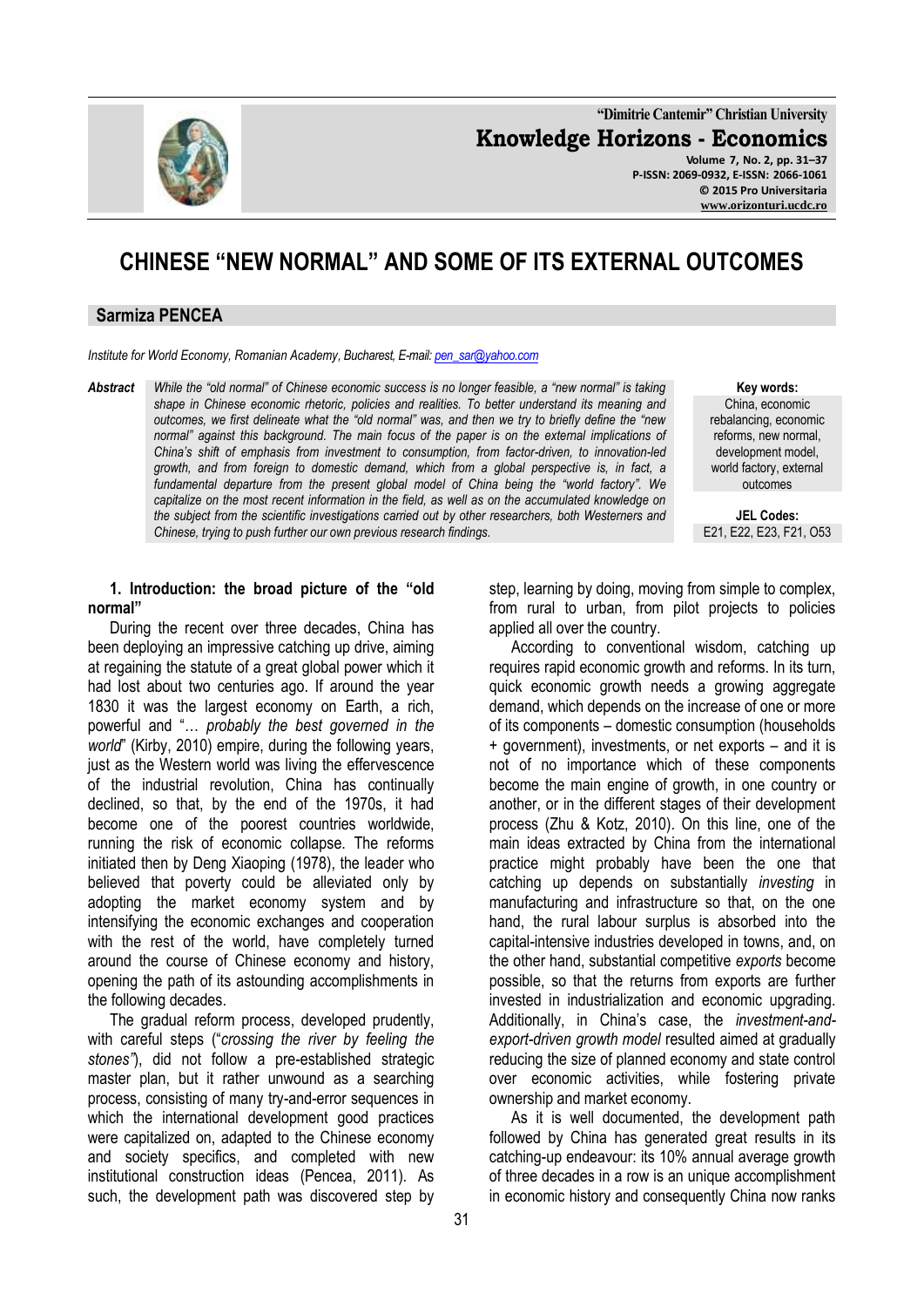

**"Dimitrie Cantemir" Christian University Knowledge Horizons - Economics Volume 7, No. 2, pp. 31–37 P-ISSN: 2069-0932, E-ISSN: 2066-1061 © 2015 Pro Universitaria [www.orizonturi.ucdc.ro](http://www.orizonturi.ucdc.ro/)**

# **CHINESE "NEW NORMAL" AND SOME OF ITS EXTERNAL OUTCOMES**

### **Sarmiza PENCEA**

*Institute for World Economy, Romanian Academy, Bucharest, E-mail[: pen\\_sar@yahoo.com](mailto:pen_sar@yahoo.com)*

*Abstract While the "old normal" of Chinese economic success is no longer feasible, a "new normal" is taking shape in Chinese economic rhetoric, policies and realities. To better understand its meaning and outcomes, we first delineate what the "old normal" was, and then we try to briefly define the "new normal" against this background. The main focus of the paper is on the external implications of China's shift of emphasis from investment to consumption, from factor-driven, to innovation-led growth, and from foreign to domestic demand, which from a global perspective is, in fact, a*  fundamental departure from the present global model of China being the "world factory". We *capitalize on the most recent information in the field, as well as on the accumulated knowledge on the subject from the scientific investigations carried out by other researchers, both Westerners and Chinese, trying to push further our own previous research findings.*

**1. Introduction: the broad picture of the "old normal"**

During the recent over three decades, China has been deploying an impressive catching up drive, aiming at regaining the statute of a great global power which it had lost about two centuries ago. If around the year 1830 it was the largest economy on Earth, a rich, powerful and "… *probably the best governed in the world*" (Kirby, 2010) empire, during the following years, just as the Western world was living the effervescence of the industrial revolution, China has continually declined, so that, by the end of the 1970s, it had become one of the poorest countries worldwide, running the risk of economic collapse. The reforms initiated then by Deng Xiaoping (1978), the leader who believed that poverty could be alleviated only by adopting the market economy system and by intensifying the economic exchanges and cooperation with the rest of the world, have completely turned around the course of Chinese economy and history, opening the path of its astounding accomplishments in the following decades.

The gradual reform process, developed prudently, with careful steps ("*crossing the river by feeling the stones"*), did not follow a pre-established strategic master plan, but it rather unwound as a searching process, consisting of many try-and-error sequences in which the international development good practices were capitalized on, adapted to the Chinese economy and society specifics, and completed with new institutional construction ideas (Pencea, 2011). As such, the development path was discovered step by

**Key words:** China, economic rebalancing, economic reforms, new normal, development model, world factory, external outcomes

**JEL Codes:** E21, E22, E23, F21, O53

step, learning by doing, moving from simple to complex, from rural to urban, from pilot projects to policies applied all over the country.

According to conventional wisdom, catching up requires rapid economic growth and reforms. In its turn, quick economic growth needs a growing aggregate demand, which depends on the increase of one or more of its components – domestic consumption (households + government), investments, or net exports – and it is not of no importance which of these components become the main engine of growth, in one country or another, or in the different stages of their development process (Zhu & Kotz, 2010). On this line, one of the main ideas extracted by China from the international practice might probably have been the one that catching up depends on substantially *investing* in manufacturing and infrastructure so that, on the one hand, the rural labour surplus is absorbed into the capital-intensive industries developed in towns, and, on the other hand, substantial competitive *exports* become possible, so that the returns from exports are further invested in industrialization and economic upgrading. Additionally, in China's case, the *investment-andexport-driven growth model* resulted aimed at gradually reducing the size of planned economy and state control over economic activities, while fostering private ownership and market economy.

As it is well documented, the development path followed by China has generated great results in its catching-up endeavour: its 10% annual average growth of three decades in a row is an unique accomplishment in economic history and consequently China now ranks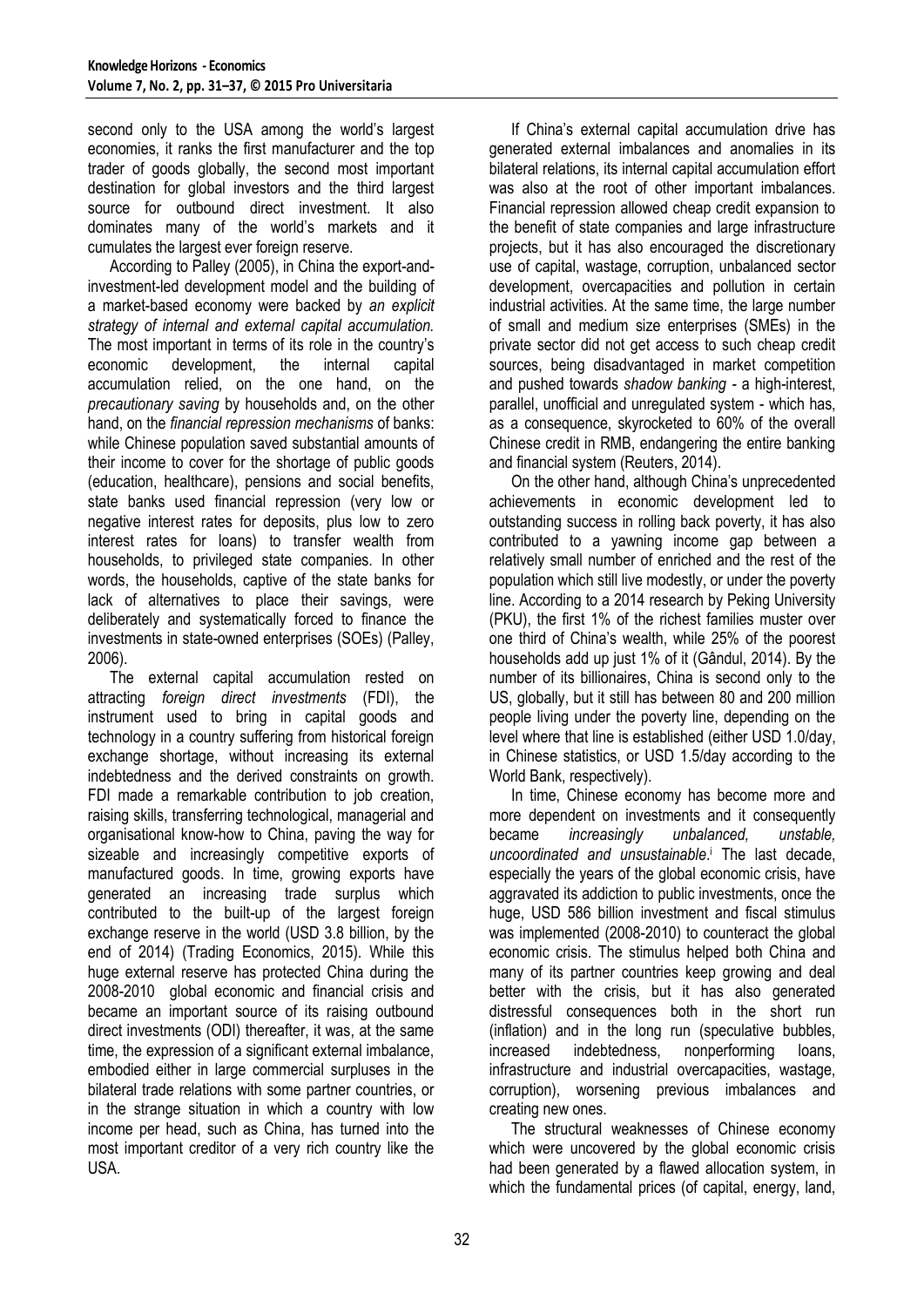second only to the USA among the world's largest economies, it ranks the first manufacturer and the top trader of goods globally, the second most important destination for global investors and the third largest source for outbound direct investment. It also dominates many of the world's markets and it cumulates the largest ever foreign reserve.

According to Palley (2005), in China the export-andinvestment-led development model and the building of a market-based economy were backed by *an explicit strategy of internal and external capital accumulation.*  The most important in terms of its role in the country's economic development, the internal capital economic development, the internal capital accumulation relied, on the one hand, on the *precautionary saving* by households and, on the other hand, on the *financial repression mechanisms* of banks: while Chinese population saved substantial amounts of their income to cover for the shortage of public goods (education, healthcare), pensions and social benefits, state banks used financial repression (very low or negative interest rates for deposits, plus low to zero interest rates for loans) to transfer wealth from households, to privileged state companies. In other words, the households, captive of the state banks for lack of alternatives to place their savings, were deliberately and systematically forced to finance the investments in state-owned enterprises (SOEs) (Palley, 2006).

The external capital accumulation rested on attracting *foreign direct investments* (FDI), the instrument used to bring in capital goods and technology in a country suffering from historical foreign exchange shortage, without increasing its external indebtedness and the derived constraints on growth. FDI made a remarkable contribution to job creation, raising skills, transferring technological, managerial and organisational know-how to China, paving the way for sizeable and increasingly competitive exports of manufactured goods. In time, growing exports have generated an increasing trade surplus which contributed to the built-up of the largest foreign exchange reserve in the world (USD 3.8 billion, by the end of 2014) (Trading Economics, 2015). While this huge external reserve has protected China during the 2008-2010 global economic and financial crisis and became an important source of its raising outbound direct investments (ODI) thereafter, it was, at the same time, the expression of a significant external imbalance, embodied either in large commercial surpluses in the bilateral trade relations with some partner countries, or in the strange situation in which a country with low income per head, such as China, has turned into the most important creditor of a very rich country like the USA.

If China's external capital accumulation drive has generated external imbalances and anomalies in its bilateral relations, its internal capital accumulation effort was also at the root of other important imbalances. Financial repression allowed cheap credit expansion to the benefit of state companies and large infrastructure projects, but it has also encouraged the discretionary use of capital, wastage, corruption, unbalanced sector development, overcapacities and pollution in certain industrial activities. At the same time, the large number of small and medium size enterprises (SMEs) in the private sector did not get access to such cheap credit sources, being disadvantaged in market competition and pushed towards *shadow banking -* a high-interest, parallel, unofficial and unregulated system - which has, as a consequence, skyrocketed to 60% of the overall Chinese credit in RMB, endangering the entire banking and financial system (Reuters, 2014).

On the other hand, although China's unprecedented achievements in economic development led to outstanding success in rolling back poverty, it has also contributed to a yawning income gap between a relatively small number of enriched and the rest of the population which still live modestly, or under the poverty line. According to a 2014 research by Peking University (PKU), the first 1% of the richest families muster over one third of China's wealth, while 25% of the poorest households add up just 1% of it (Gândul, 2014). By the number of its billionaires, China is second only to the US, globally, but it still has between 80 and 200 million people living under the poverty line, depending on the level where that line is established (either USD 1.0/day, in Chinese statistics, or USD 1.5/day according to the World Bank, respectively).

In time, Chinese economy has become more and more dependent on investments and it consequently became *increasingly unbalanced, unstable, uncoordinated and unsustainable*. <sup>i</sup> The last decade, especially the years of the global economic crisis, have aggravated its addiction to public investments, once the huge, USD 586 billion investment and fiscal stimulus was implemented (2008-2010) to counteract the global economic crisis. The stimulus helped both China and many of its partner countries keep growing and deal better with the crisis, but it has also generated distressful consequences both in the short run (inflation) and in the long run (speculative bubbles, increased indebtedness, nonperforming loans, infrastructure and industrial overcapacities, wastage, corruption), worsening previous imbalances and creating new ones.

The structural weaknesses of Chinese economy which were uncovered by the global economic crisis had been generated by a flawed allocation system, in which the fundamental prices (of capital, energy, land,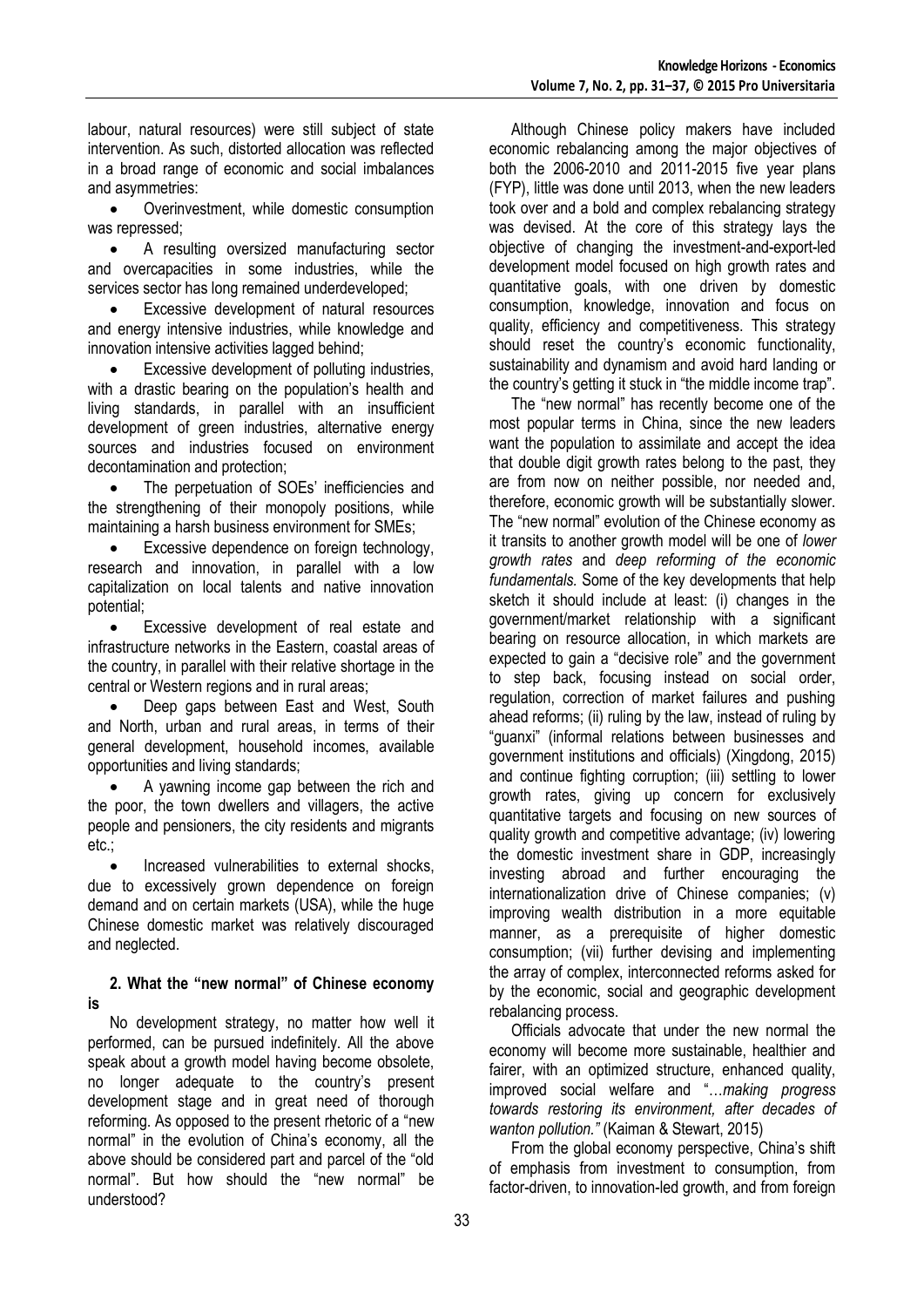labour, natural resources) were still subject of state intervention. As such, distorted allocation was reflected in a broad range of economic and social imbalances and asymmetries:

 Overinvestment, while domestic consumption was repressed;

 A resulting oversized manufacturing sector and overcapacities in some industries, while the services sector has long remained underdeveloped;

 Excessive development of natural resources and energy intensive industries, while knowledge and innovation intensive activities lagged behind;

 Excessive development of polluting industries, with a drastic bearing on the population's health and living standards, in parallel with an insufficient development of green industries, alternative energy sources and industries focused on environment decontamination and protection;

 The perpetuation of SOEs' inefficiencies and the strengthening of their monopoly positions, while maintaining a harsh business environment for SMEs;

 Excessive dependence on foreign technology, research and innovation, in parallel with a low capitalization on local talents and native innovation potential;

 Excessive development of real estate and infrastructure networks in the Eastern, coastal areas of the country, in parallel with their relative shortage in the central or Western regions and in rural areas;

• Deep gaps between East and West, South and North, urban and rural areas, in terms of their general development, household incomes, available opportunities and living standards;

 A yawning income gap between the rich and the poor, the town dwellers and villagers, the active people and pensioners, the city residents and migrants etc.;

 Increased vulnerabilities to external shocks, due to excessively grown dependence on foreign demand and on certain markets (USA), while the huge Chinese domestic market was relatively discouraged and neglected.

## **2. What the "new normal" of Chinese economy is**

No development strategy, no matter how well it performed, can be pursued indefinitely. All the above speak about a growth model having become obsolete, no longer adequate to the country's present development stage and in great need of thorough reforming. As opposed to the present rhetoric of a "new normal" in the evolution of China's economy, all the above should be considered part and parcel of the "old normal". But how should the "new normal" be understood?

Although Chinese policy makers have included economic rebalancing among the major objectives of both the 2006-2010 and 2011-2015 five year plans (FYP), little was done until 2013, when the new leaders took over and a bold and complex rebalancing strategy was devised. At the core of this strategy lays the objective of changing the investment-and-export-led development model focused on high growth rates and quantitative goals, with one driven by domestic consumption, knowledge, innovation and focus on quality, efficiency and competitiveness. This strategy should reset the country's economic functionality, sustainability and dynamism and avoid hard landing or the country's getting it stuck in "the middle income trap".

The "new normal" has recently become one of the most popular terms in China, since the new leaders want the population to assimilate and accept the idea that double digit growth rates belong to the past, they are from now on neither possible, nor needed and, therefore, economic growth will be substantially slower. The "new normal" evolution of the Chinese economy as it transits to another growth model will be one of *lower growth rates* and *deep reforming of the economic fundamentals.* Some of the key developments that help sketch it should include at least: (i) changes in the government/market relationship with a significant bearing on resource allocation, in which markets are expected to gain a "decisive role" and the government to step back, focusing instead on social order, regulation, correction of market failures and pushing ahead reforms; (ii) ruling by the law, instead of ruling by "guanxi" (informal relations between businesses and government institutions and officials) (Xingdong, 2015) and continue fighting corruption; (iii) settling to lower growth rates, giving up concern for exclusively quantitative targets and focusing on new sources of quality growth and competitive advantage; (iv) lowering the domestic investment share in GDP, increasingly investing abroad and further encouraging the internationalization drive of Chinese companies; (v) improving wealth distribution in a more equitable manner, as a prerequisite of higher domestic consumption; (vii) further devising and implementing the array of complex, interconnected reforms asked for by the economic, social and geographic development rebalancing process.

Officials advocate that under the new normal the economy will become more sustainable, healthier and fairer, with an optimized structure, enhanced quality, improved social welfare and "…*making progress towards restoring its environment, after decades of wanton pollution."* (Kaiman & Stewart, 2015)

From the global economy perspective, China's shift of emphasis from investment to consumption, from factor-driven, to innovation-led growth, and from foreign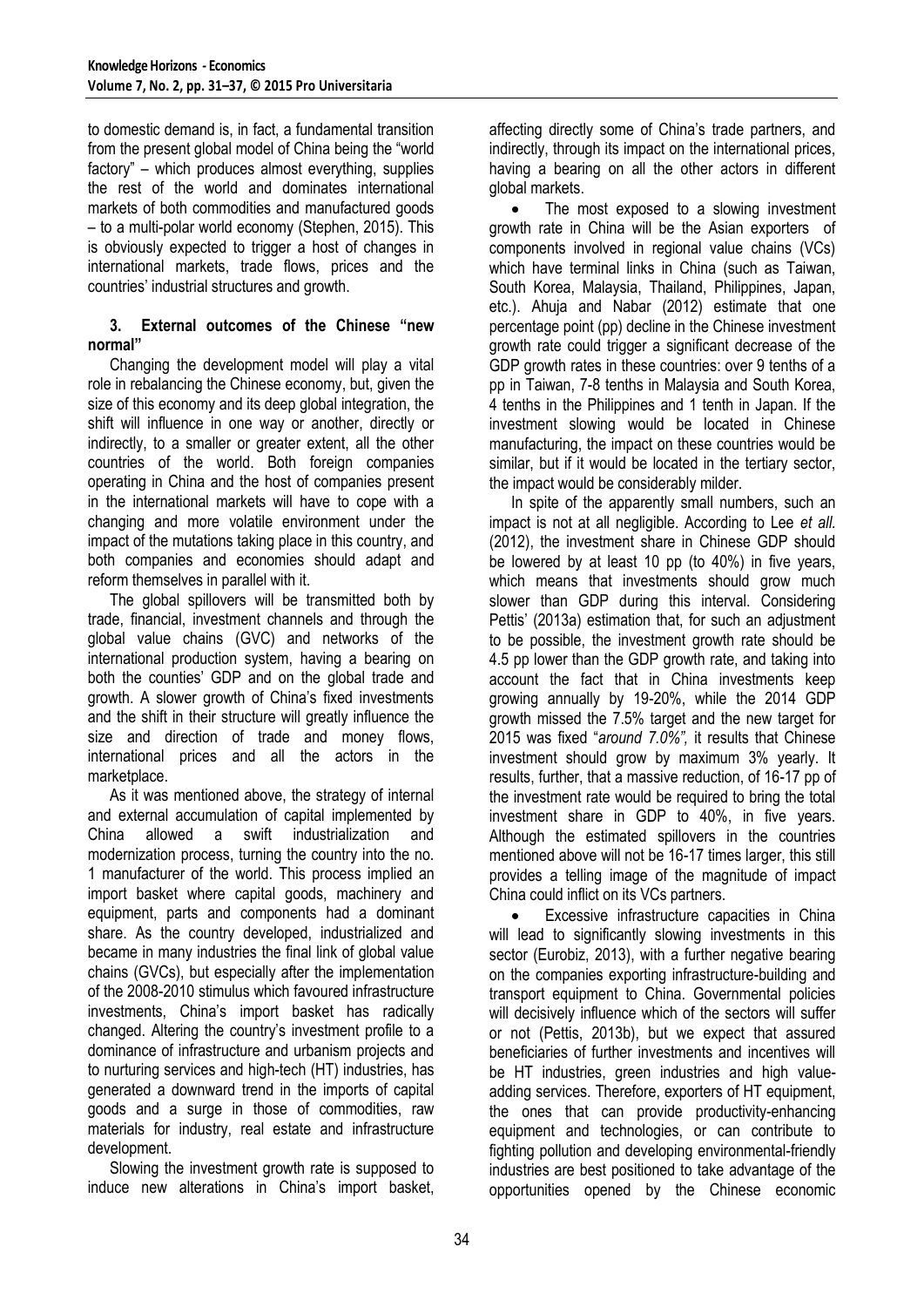to domestic demand is, in fact, a fundamental transition from the present global model of China being the "world factory" – which produces almost everything, supplies the rest of the world and dominates international markets of both commodities and manufactured goods – to a multi-polar world economy (Stephen, 2015). This is obviously expected to trigger a host of changes in international markets, trade flows, prices and the countries' industrial structures and growth.

## **3. External outcomes of the Chinese "new normal"**

Changing the development model will play a vital role in rebalancing the Chinese economy, but, given the size of this economy and its deep global integration, the shift will influence in one way or another, directly or indirectly, to a smaller or greater extent, all the other countries of the world. Both foreign companies operating in China and the host of companies present in the international markets will have to cope with a changing and more volatile environment under the impact of the mutations taking place in this country, and both companies and economies should adapt and reform themselves in parallel with it.

The global spillovers will be transmitted both by trade, financial, investment channels and through the global value chains (GVC) and networks of the international production system, having a bearing on both the counties' GDP and on the global trade and growth. A slower growth of China's fixed investments and the shift in their structure will greatly influence the size and direction of trade and money flows, international prices and all the actors in the marketplace.

As it was mentioned above, the strategy of internal and external accumulation of capital implemented by China allowed a swift industrialization and modernization process, turning the country into the no. 1 manufacturer of the world. This process implied an import basket where capital goods, machinery and equipment, parts and components had a dominant share. As the country developed, industrialized and became in many industries the final link of global value chains (GVCs), but especially after the implementation of the 2008-2010 stimulus which favoured infrastructure investments, China's import basket has radically changed. Altering the country's investment profile to a dominance of infrastructure and urbanism projects and to nurturing services and high-tech (HT) industries, has generated a downward trend in the imports of capital goods and a surge in those of commodities, raw materials for industry, real estate and infrastructure development.

Slowing the investment growth rate is supposed to induce new alterations in China's import basket,

affecting directly some of China's trade partners, and indirectly, through its impact on the international prices, having a bearing on all the other actors in different global markets.

 The most exposed to a slowing investment growth rate in China will be the Asian exporters of components involved in regional value chains (VCs) which have terminal links in China (such as Taiwan, South Korea, Malaysia, Thailand, Philippines, Japan, etc.). Ahuja and Nabar (2012) estimate that one percentage point (pp) decline in the Chinese investment growth rate could trigger a significant decrease of the GDP growth rates in these countries: over 9 tenths of a pp in Taiwan, 7-8 tenths in Malaysia and South Korea, 4 tenths in the Philippines and 1 tenth in Japan. If the investment slowing would be located in Chinese manufacturing, the impact on these countries would be similar, but if it would be located in the tertiary sector, the impact would be considerably milder.

In spite of the apparently small numbers, such an impact is not at all negligible. According to Lee *et all.* (2012), the investment share in Chinese GDP should be lowered by at least 10 pp (to 40%) in five years, which means that investments should grow much slower than GDP during this interval. Considering Pettis' (2013a) estimation that, for such an adjustment to be possible, the investment growth rate should be 4.5 pp lower than the GDP growth rate, and taking into account the fact that in China investments keep growing annually by 19-20%, while the 2014 GDP growth missed the 7.5% target and the new target for 2015 was fixed "*around 7.0%",* it results that Chinese investment should grow by maximum 3% yearly. It results, further, that a massive reduction, of 16-17 pp of the investment rate would be required to bring the total investment share in GDP to 40%, in five years. Although the estimated spillovers in the countries mentioned above will not be 16-17 times larger, this still provides a telling image of the magnitude of impact China could inflict on its VCs partners.

 Excessive infrastructure capacities in China will lead to significantly slowing investments in this sector (Eurobiz, 2013), with a further negative bearing on the companies exporting infrastructure-building and transport equipment to China. Governmental policies will decisively influence which of the sectors will suffer or not (Pettis, 2013b), but we expect that assured beneficiaries of further investments and incentives will be HT industries, green industries and high valueadding services. Therefore, exporters of HT equipment, the ones that can provide productivity-enhancing equipment and technologies, or can contribute to fighting pollution and developing environmental-friendly industries are best positioned to take advantage of the opportunities opened by the Chinese economic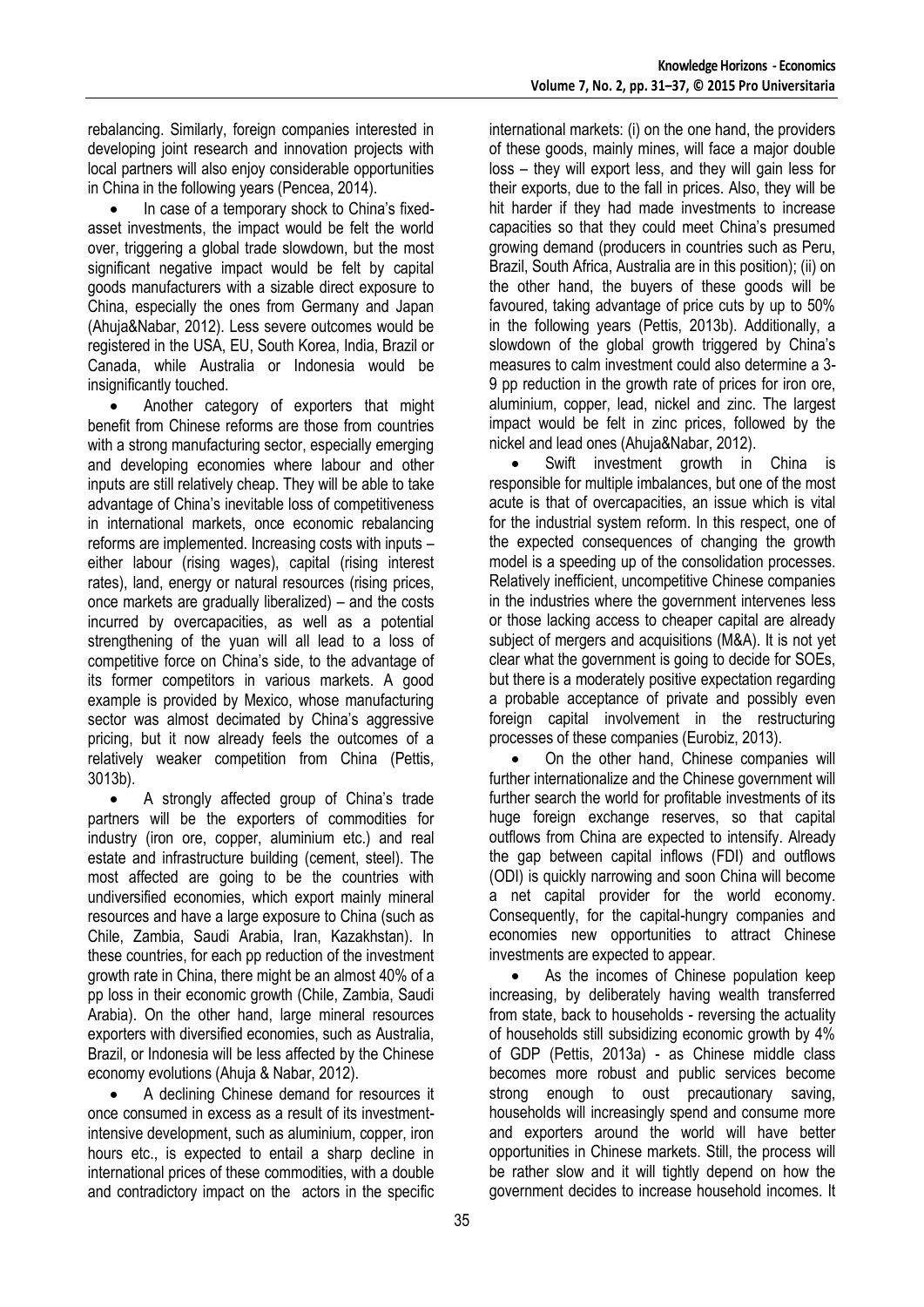rebalancing. Similarly, foreign companies interested in developing joint research and innovation projects with local partners will also enjoy considerable opportunities in China in the following years (Pencea, 2014).

 In case of a temporary shock to China's fixedasset investments, the impact would be felt the world over, triggering a global trade slowdown, but the most significant negative impact would be felt by capital goods manufacturers with a sizable direct exposure to China, especially the ones from Germany and Japan (Ahuja&Nabar, 2012). Less severe outcomes would be registered in the USA, EU, South Korea, India, Brazil or Canada, while Australia or Indonesia would be insignificantly touched.

 Another category of exporters that might benefit from Chinese reforms are those from countries with a strong manufacturing sector, especially emerging and developing economies where labour and other inputs are still relatively cheap. They will be able to take advantage of China's inevitable loss of competitiveness in international markets, once economic rebalancing reforms are implemented. Increasing costs with inputs – either labour (rising wages), capital (rising interest rates), land, energy or natural resources (rising prices, once markets are gradually liberalized) – and the costs incurred by overcapacities, as well as a potential strengthening of the yuan will all lead to a loss of competitive force on China's side, to the advantage of its former competitors in various markets. A good example is provided by Mexico, whose manufacturing sector was almost decimated by China's aggressive pricing, but it now already feels the outcomes of a relatively weaker competition from China (Pettis, 3013b).

 A strongly affected group of China's trade partners will be the exporters of commodities for industry (iron ore, copper, aluminium etc.) and real estate and infrastructure building (cement, steel). The most affected are going to be the countries with undiversified economies, which export mainly mineral resources and have a large exposure to China (such as Chile, Zambia, Saudi Arabia, Iran, Kazakhstan). In these countries, for each pp reduction of the investment growth rate in China, there might be an almost 40% of a pp loss in their economic growth (Chile, Zambia, Saudi Arabia). On the other hand, large mineral resources exporters with diversified economies, such as Australia, Brazil, or Indonesia will be less affected by the Chinese economy evolutions (Ahuja & Nabar, 2012).

 A declining Chinese demand for resources it once consumed in excess as a result of its investmentintensive development, such as aluminium, copper, iron hours etc., is expected to entail a sharp decline in international prices of these commodities, with a double and contradictory impact on the actors in the specific international markets: (i) on the one hand, the providers of these goods, mainly mines, will face a major double loss – they will export less, and they will gain less for their exports, due to the fall in prices. Also, they will be hit harder if they had made investments to increase capacities so that they could meet China's presumed growing demand (producers in countries such as Peru, Brazil, South Africa, Australia are in this position); (ii) on the other hand, the buyers of these goods will be favoured, taking advantage of price cuts by up to 50% in the following years (Pettis, 2013b). Additionally, a slowdown of the global growth triggered by China's measures to calm investment could also determine a 3- 9 pp reduction in the growth rate of prices for iron ore, aluminium, copper, lead, nickel and zinc. The largest impact would be felt in zinc prices, followed by the nickel and lead ones (Ahuja&Nabar, 2012).

• Swift investment growth in China is responsible for multiple imbalances, but one of the most acute is that of overcapacities, an issue which is vital for the industrial system reform. In this respect, one of the expected consequences of changing the growth model is a speeding up of the consolidation processes. Relatively inefficient, uncompetitive Chinese companies in the industries where the government intervenes less or those lacking access to cheaper capital are already subject of mergers and acquisitions (M&A). It is not yet clear what the government is going to decide for SOEs, but there is a moderately positive expectation regarding a probable acceptance of private and possibly even foreign capital involvement in the restructuring processes of these companies (Eurobiz, 2013).

 On the other hand, Chinese companies will further internationalize and the Chinese government will further search the world for profitable investments of its huge foreign exchange reserves, so that capital outflows from China are expected to intensify. Already the gap between capital inflows (FDI) and outflows (ODI) is quickly narrowing and soon China will become a net capital provider for the world economy. Consequently, for the capital-hungry companies and economies new opportunities to attract Chinese investments are expected to appear.

 As the incomes of Chinese population keep increasing, by deliberately having wealth transferred from state, back to households - reversing the actuality of households still subsidizing economic growth by 4% of GDP (Pettis, 2013a) - as Chinese middle class becomes more robust and public services become strong enough to oust precautionary saving, households will increasingly spend and consume more and exporters around the world will have better opportunities in Chinese markets. Still, the process will be rather slow and it will tightly depend on how the government decides to increase household incomes. It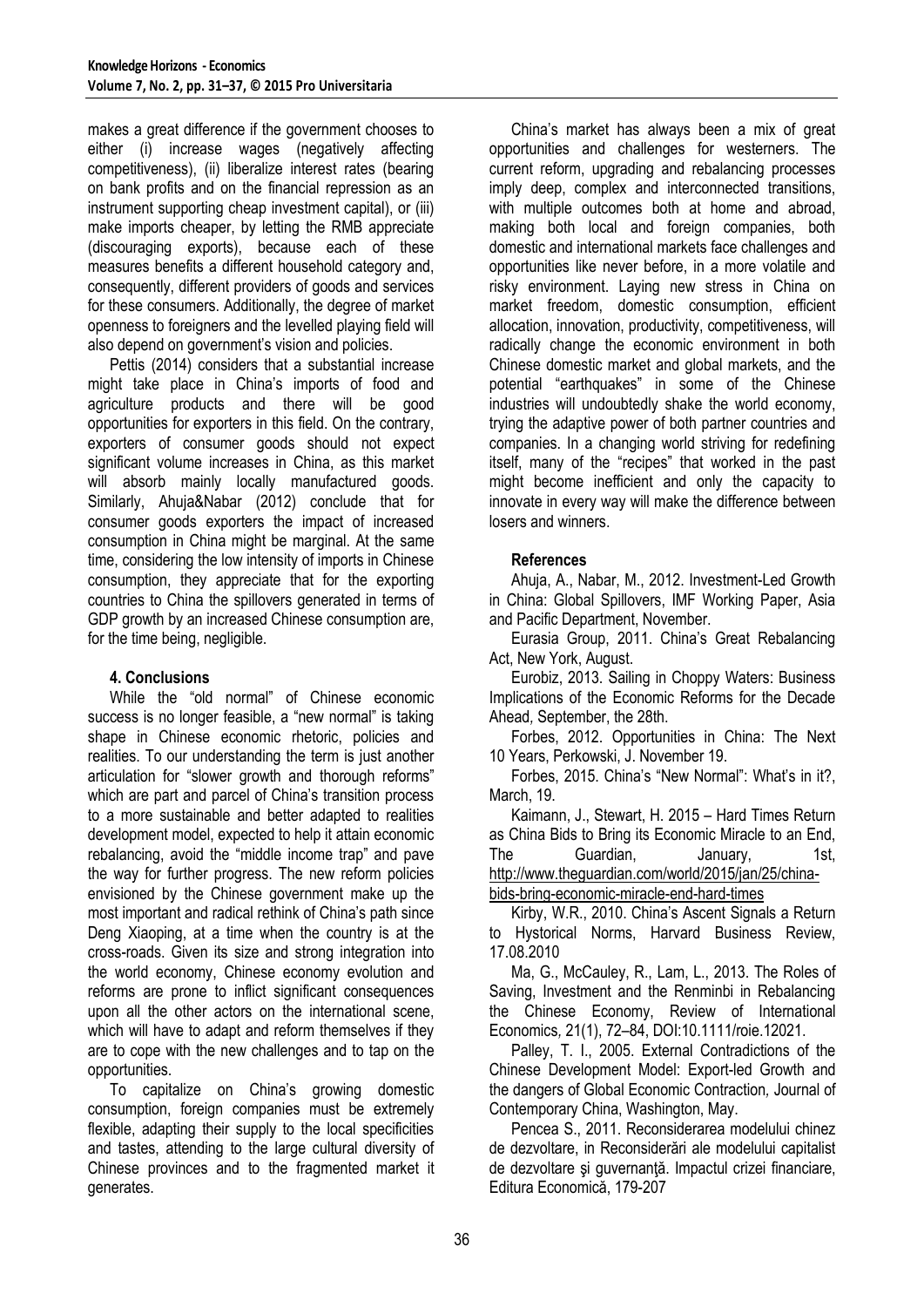makes a great difference if the government chooses to either (i) increase wages (negatively affecting competitiveness), (ii) liberalize interest rates (bearing on bank profits and on the financial repression as an instrument supporting cheap investment capital), or (iii) make imports cheaper, by letting the RMB appreciate (discouraging exports), because each of these measures benefits a different household category and, consequently, different providers of goods and services for these consumers. Additionally, the degree of market openness to foreigners and the levelled playing field will also depend on government's vision and policies.

Pettis (2014) considers that a substantial increase might take place in China's imports of food and agriculture products and there will be good opportunities for exporters in this field. On the contrary, exporters of consumer goods should not expect significant volume increases in China, as this market will absorb mainly locally manufactured goods. Similarly, Ahuja&Nabar (2012) conclude that for consumer goods exporters the impact of increased consumption in China might be marginal. At the same time, considering the low intensity of imports in Chinese consumption, they appreciate that for the exporting countries to China the spillovers generated in terms of GDP growth by an increased Chinese consumption are, for the time being, negligible.

## **4. Conclusions**

While the "old normal" of Chinese economic success is no longer feasible, a "new normal" is taking shape in Chinese economic rhetoric, policies and realities. To our understanding the term is just another articulation for "slower growth and thorough reforms" which are part and parcel of China's transition process to a more sustainable and better adapted to realities development model, expected to help it attain economic rebalancing, avoid the "middle income trap" and pave the way for further progress. The new reform policies envisioned by the Chinese government make up the most important and radical rethink of China's path since Deng Xiaoping, at a time when the country is at the cross-roads. Given its size and strong integration into the world economy, Chinese economy evolution and reforms are prone to inflict significant consequences upon all the other actors on the international scene, which will have to adapt and reform themselves if they are to cope with the new challenges and to tap on the opportunities.

To capitalize on China's growing domestic consumption, foreign companies must be extremely flexible, adapting their supply to the local specificities and tastes, attending to the large cultural diversity of Chinese provinces and to the fragmented market it generates.

China's market has always been a mix of great opportunities and challenges for westerners. The current reform, upgrading and rebalancing processes imply deep, complex and interconnected transitions, with multiple outcomes both at home and abroad, making both local and foreign companies, both domestic and international markets face challenges and opportunities like never before, in a more volatile and risky environment. Laying new stress in China on market freedom, domestic consumption, efficient allocation, innovation, productivity, competitiveness, will radically change the economic environment in both Chinese domestic market and global markets, and the potential "earthquakes" in some of the Chinese industries will undoubtedly shake the world economy, trying the adaptive power of both partner countries and companies. In a changing world striving for redefining itself, many of the "recipes" that worked in the past might become inefficient and only the capacity to innovate in every way will make the difference between losers and winners.

## **References**

Ahuja, A., Nabar, M., 2012. Investment-Led Growth in China: Global Spillovers, IMF Working Paper, Asia and Pacific Department, November.

Eurasia Group, 2011. China's Great Rebalancing Act, New York, August.

Eurobiz, 2013. Sailing in Choppy Waters: Business Implications of the Economic Reforms for the Decade Ahead*,* September, the 28th.

Forbes, 2012. Opportunities in China: The Next 10 Years, Perkowski, J. November 19.

Forbes, 2015. China's "New Normal": What's in it?, March, 19.

Kaimann, J., Stewart, H. 2015 – Hard Times Return as China Bids to Bring its Economic Miracle to an End, The Guardian, January, 1st, [http://www.theguardian.com/world/2015/jan/25/china](http://www.theguardian.com/world/2015/jan/25/china-bids-bring-economic-miracle-end-hard-times)[bids-bring-economic-miracle-end-hard-times](http://www.theguardian.com/world/2015/jan/25/china-bids-bring-economic-miracle-end-hard-times)

Kirby, W.R., 2010. China's Ascent Signals a Return to Hystorical Norms, Harvard Business Review, 17.08.2010

Ma, G., McCauley, R., Lam, L., 2013. The Roles of Saving, Investment and the Renminbi in Rebalancing the Chinese Economy, Review of International Economics*,* 21(1), 72–84, DOI:10.1111/roie.12021.

Palley, T. I., 2005. External Contradictions of the Chinese Development Model: Export-led Growth and the dangers of Global Economic Contraction*,* Journal of Contemporary China, Washington, May.

Pencea S., 2011. Reconsiderarea modelului chinez de dezvoltare, in Reconsiderări ale modelului capitalist de dezvoltare și guvernanță. Impactul crizei financiare, Editura Economică, 179-207